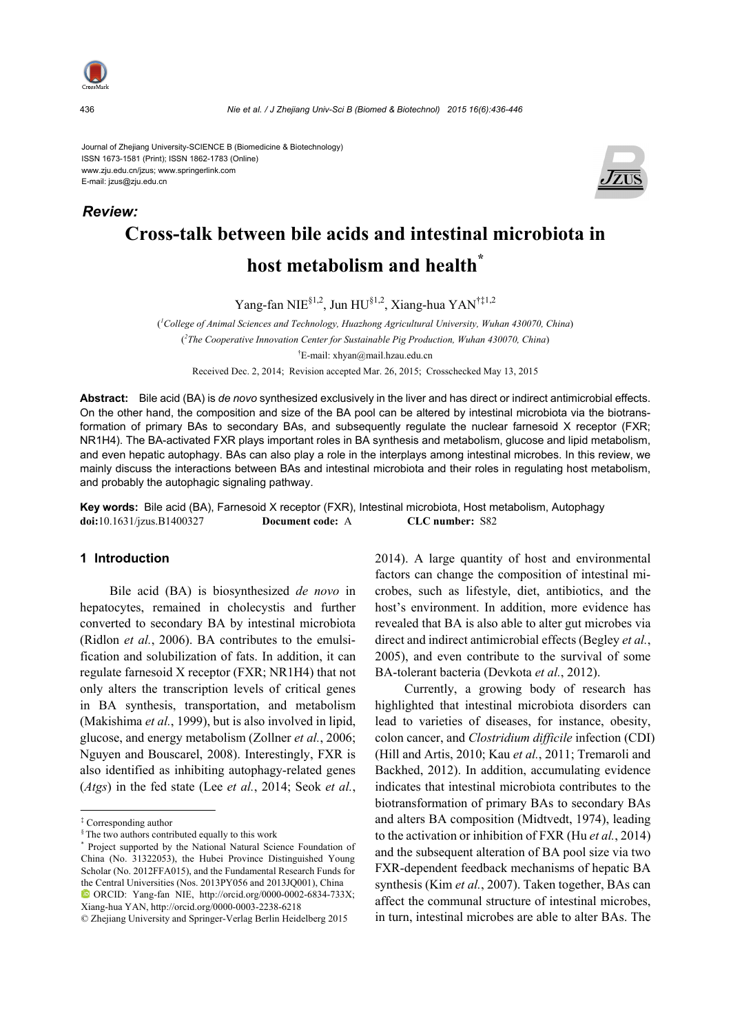

*Review:* 

Journal of Zhejiang University-SCIENCE B (Biomedicine & Biotechnology) ISSN 1673-1581 (Print); ISSN 1862-1783 (Online) www.zju.edu.cn/jzus; www.springerlink.com E-mail: jzus@zju.edu.cn



# **Cross-talk between bile acids and intestinal microbiota in host metabolism and health\***

Yang-fan NIE§1,2, Jun HU§1,2, Xiang-hua YAN†‡1,2

( *1 College of Animal Sciences and Technology, Huazhong Agricultural University, Wuhan 430070, China*)

( *2 The Cooperative Innovation Center for Sustainable Pig Production, Wuhan 430070, China*)

† E-mail: xhyan@mail.hzau.edu.cn

Received Dec. 2, 2014; Revision accepted Mar. 26, 2015; Crosschecked May 13, 2015

**Abstract:** Bile acid (BA) is *de novo* synthesized exclusively in the liver and has direct or indirect antimicrobial effects. On the other hand, the composition and size of the BA pool can be altered by intestinal microbiota via the biotransformation of primary BAs to secondary BAs, and subsequently regulate the nuclear farnesoid X receptor (FXR; NR1H4). The BA-activated FXR plays important roles in BA synthesis and metabolism, glucose and lipid metabolism, and even hepatic autophagy. BAs can also play a role in the interplays among intestinal microbes. In this review, we mainly discuss the interactions between BAs and intestinal microbiota and their roles in regulating host metabolism, and probably the autophagic signaling pathway.

**Key words:** Bile acid (BA), Farnesoid X receptor (FXR), Intestinal microbiota, Host metabolism, Autophagy **doi:**10.1631/jzus.B1400327 **Document code:** A **CLC number:** S82

#### **1 Introduction**

Bile acid (BA) is biosynthesized *de novo* in hepatocytes, remained in cholecystis and further converted to secondary BA by intestinal microbiota (Ridlon *et al.*, 2006). BA contributes to the emulsification and solubilization of fats. In addition, it can regulate farnesoid X receptor (FXR; NR1H4) that not only alters the transcription levels of critical genes in BA synthesis, transportation, and metabolism (Makishima *et al.*, 1999), but is also involved in lipid, glucose, and energy metabolism (Zollner *et al.*, 2006; Nguyen and Bouscarel, 2008). Interestingly, FXR is also identified as inhibiting autophagy-related genes (*Atgs*) in the fed state (Lee *et al.*, 2014; Seok *et al.*,

2014). A large quantity of host and environmental factors can change the composition of intestinal microbes, such as lifestyle, diet, antibiotics, and the host's environment. In addition, more evidence has revealed that BA is also able to alter gut microbes via direct and indirect antimicrobial effects (Begley *et al.*, 2005), and even contribute to the survival of some BA-tolerant bacteria (Devkota *et al.*, 2012).

Currently, a growing body of research has highlighted that intestinal microbiota disorders can lead to varieties of diseases, for instance, obesity, colon cancer, and *Clostridium difficile* infection (CDI) (Hill and Artis, 2010; Kau *et al.*, 2011; Tremaroli and Backhed, 2012). In addition, accumulating evidence indicates that intestinal microbiota contributes to the biotransformation of primary BAs to secondary BAs and alters BA composition (Midtvedt, 1974), leading to the activation or inhibition of FXR (Hu *et al.*, 2014) and the subsequent alteration of BA pool size via two FXR-dependent feedback mechanisms of hepatic BA synthesis (Kim *et al.*, 2007). Taken together, BAs can affect the communal structure of intestinal microbes, in turn, intestinal microbes are able to alter BAs. The

<sup>‡</sup> Corresponding author

<sup>&</sup>lt;sup>§</sup> The two authors contributed equally to this work

<sup>\*</sup> Project supported by the National Natural Science Foundation of China (No. 31322053), the Hubei Province Distinguished Young Scholar (No. 2012FFA015), and the Fundamental Research Funds for the Central Universities (Nos. 2013PY056 and 2013JO001), China ORCID: Yang-fan NIE, http://orcid.org/0000-0002-6834-733X; Xiang-hua YAN, http://orcid.org/0000-0003-2238-6218

<sup>©</sup> Zhejiang University and Springer-Verlag Berlin Heidelberg 2015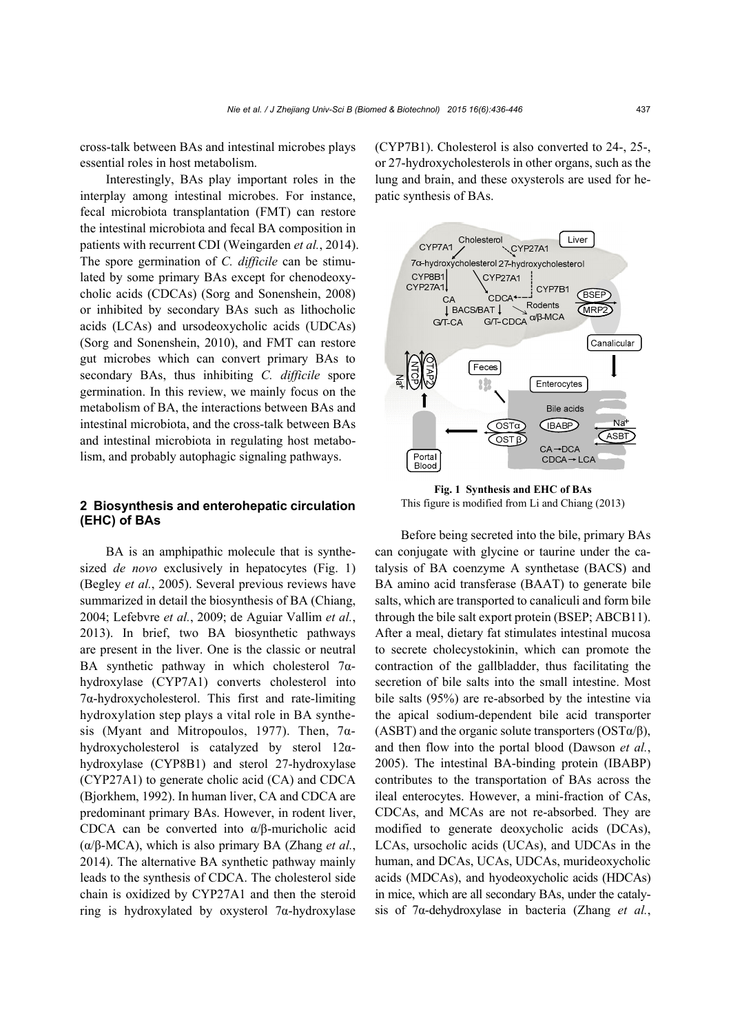cross-talk between BAs and intestinal microbes plays essential roles in host metabolism.

Interestingly, BAs play important roles in the interplay among intestinal microbes. For instance, fecal microbiota transplantation (FMT) can restore the intestinal microbiota and fecal BA composition in patients with recurrent CDI (Weingarden *et al.*, 2014). The spore germination of *C. difficile* can be stimulated by some primary BAs except for chenodeoxycholic acids (CDCAs) (Sorg and Sonenshein, 2008) or inhibited by secondary BAs such as lithocholic acids (LCAs) and ursodeoxycholic acids (UDCAs) (Sorg and Sonenshein, 2010), and FMT can restore gut microbes which can convert primary BAs to secondary BAs, thus inhibiting *C. difficile* spore germination. In this review, we mainly focus on the metabolism of BA, the interactions between BAs and intestinal microbiota, and the cross-talk between BAs and intestinal microbiota in regulating host metabolism, and probably autophagic signaling pathways.

## **2 Biosynthesis and enterohepatic circulation (EHC) of BAs**

BA is an amphipathic molecule that is synthesized *de novo* exclusively in hepatocytes (Fig. 1) (Begley *et al.*, 2005). Several previous reviews have summarized in detail the biosynthesis of BA (Chiang, 2004; Lefebvre *et al.*, 2009; de Aguiar Vallim *et al.*, 2013). In brief, two BA biosynthetic pathways are present in the liver. One is the classic or neutral BA synthetic pathway in which cholesterol 7αhydroxylase (CYP7A1) converts cholesterol into 7α-hydroxycholesterol. This first and rate-limiting hydroxylation step plays a vital role in BA synthesis (Myant and Mitropoulos, 1977). Then,  $7\alpha$ hydroxycholesterol is catalyzed by sterol 12αhydroxylase (CYP8B1) and sterol 27-hydroxylase (CYP27A1) to generate cholic acid (CA) and CDCA (Bjorkhem, 1992). In human liver, CA and CDCA are predominant primary BAs. However, in rodent liver, CDCA can be converted into α/β-muricholic acid (α/β-MCA), which is also primary BA (Zhang *et al.*, 2014). The alternative BA synthetic pathway mainly leads to the synthesis of CDCA. The cholesterol side chain is oxidized by CYP27A1 and then the steroid ring is hydroxylated by oxysterol 7α-hydroxylase (CYP7B1). Cholesterol is also converted to 24-, 25-, or 27-hydroxycholesterols in other organs, such as the lung and brain, and these oxysterols are used for hepatic synthesis of BAs.



**Fig. 1 Synthesis and EHC of BAs**  This figure is modified from Li and Chiang (2013)

Before being secreted into the bile, primary BAs can conjugate with glycine or taurine under the catalysis of BA coenzyme A synthetase (BACS) and BA amino acid transferase (BAAT) to generate bile salts, which are transported to canaliculi and form bile through the bile salt export protein (BSEP; ABCB11). After a meal, dietary fat stimulates intestinal mucosa to secrete cholecystokinin, which can promote the contraction of the gallbladder, thus facilitating the secretion of bile salts into the small intestine. Most bile salts (95%) are re-absorbed by the intestine via the apical sodium-dependent bile acid transporter (ASBT) and the organic solute transporters  $(OST\alpha/\beta)$ , and then flow into the portal blood (Dawson *et al.*, 2005). The intestinal BA-binding protein (IBABP) contributes to the transportation of BAs across the ileal enterocytes. However, a mini-fraction of CAs, CDCAs, and MCAs are not re-absorbed. They are modified to generate deoxycholic acids (DCAs), LCAs, ursocholic acids (UCAs), and UDCAs in the human, and DCAs, UCAs, UDCAs, murideoxycholic acids (MDCAs), and hyodeoxycholic acids (HDCAs) in mice, which are all secondary BAs, under the catalysis of 7α-dehydroxylase in bacteria (Zhang *et al.*,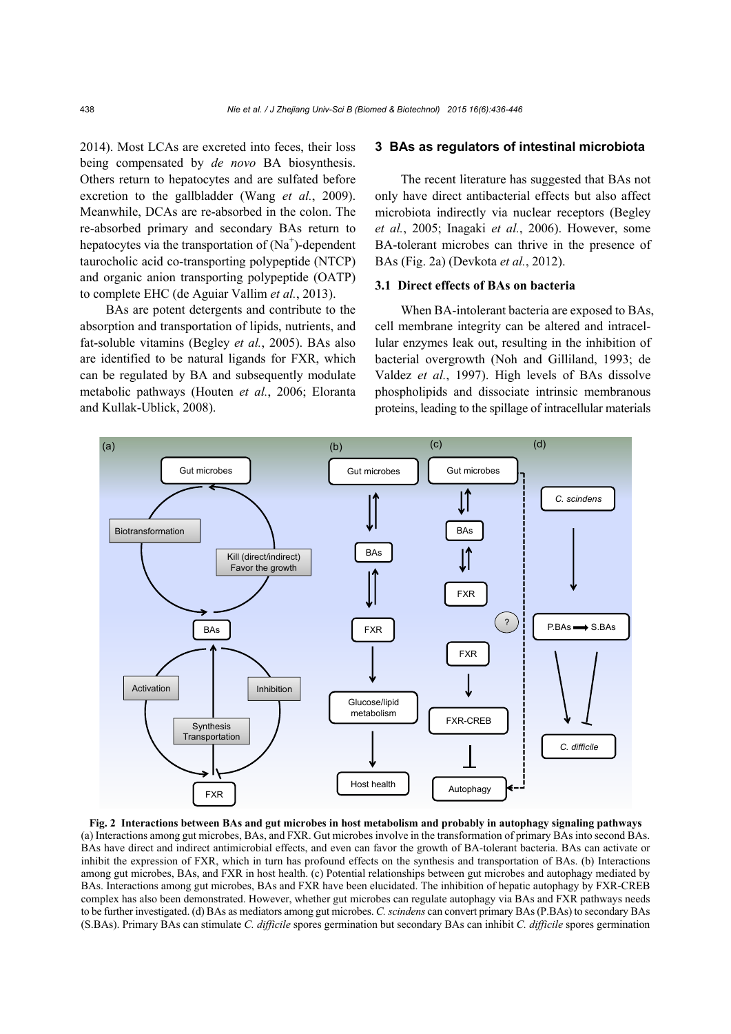2014). Most LCAs are excreted into feces, their loss being compensated by *de novo* BA biosynthesis. Others return to hepatocytes and are sulfated before excretion to the gallbladder (Wang *et al.*, 2009). Meanwhile, DCAs are re-absorbed in the colon. The re-absorbed primary and secondary BAs return to hepatocytes via the transportation of  $(Na^{+})$ -dependent taurocholic acid co-transporting polypeptide (NTCP) and organic anion transporting polypeptide (OATP) to complete EHC (de Aguiar Vallim *et al.*, 2013).

BAs are potent detergents and contribute to the absorption and transportation of lipids, nutrients, and fat-soluble vitamins (Begley *et al.*, 2005). BAs also are identified to be natural ligands for FXR, which can be regulated by BA and subsequently modulate metabolic pathways (Houten *et al.*, 2006; Eloranta and Kullak-Ublick, 2008).

#### **3 BAs as regulators of intestinal microbiota**

The recent literature has suggested that BAs not only have direct antibacterial effects but also affect microbiota indirectly via nuclear receptors (Begley *et al.*, 2005; Inagaki *et al.*, 2006). However, some BA-tolerant microbes can thrive in the presence of BAs (Fig. 2a) (Devkota *et al.*, 2012).

#### **3.1 Direct effects of BAs on bacteria**

When BA-intolerant bacteria are exposed to BAs, cell membrane integrity can be altered and intracellular enzymes leak out, resulting in the inhibition of bacterial overgrowth (Noh and Gilliland, 1993; de Valdez *et al.*, 1997). High levels of BAs dissolve phospholipids and dissociate intrinsic membranous proteins, leading to the spillage of intracellular materials



**Fig. 2 Interactions between BAs and gut microbes in host metabolism and probably in autophagy signaling pathways** (a) Interactions among gut microbes, BAs, and FXR. Gut microbes involve in the transformation of primary BAs into second BAs. BAs have direct and indirect antimicrobial effects, and even can favor the growth of BA-tolerant bacteria. BAs can activate or inhibit the expression of FXR, which in turn has profound effects on the synthesis and transportation of BAs. (b) Interactions among gut microbes, BAs, and FXR in host health. (c) Potential relationships between gut microbes and autophagy mediated by BAs. Interactions among gut microbes, BAs and FXR have been elucidated. The inhibition of hepatic autophagy by FXR-CREB complex has also been demonstrated. However, whether gut microbes can regulate autophagy via BAs and FXR pathways needs to be further investigated. (d) BAs as mediators among gut microbes. *C. scindens* can convert primary BAs (P.BAs) to secondary BAs (S.BAs). Primary BAs can stimulate *C. difficile* spores germination but secondary BAs can inhibit *C. difficile* spores germination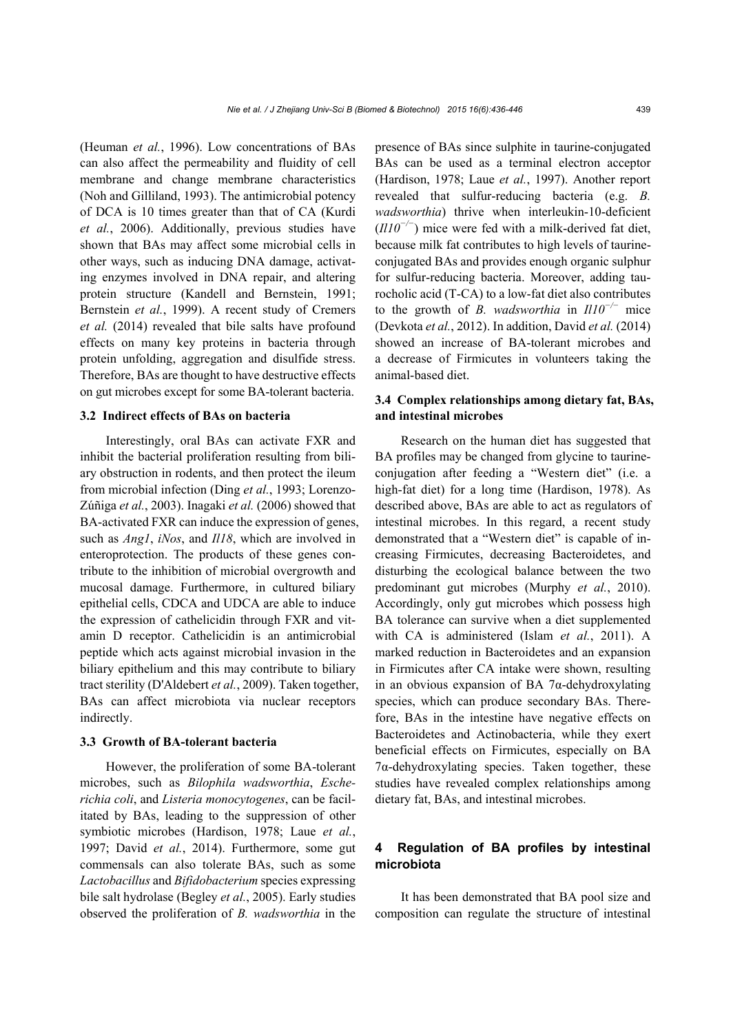(Heuman *et al.*, 1996). Low concentrations of BAs can also affect the permeability and fluidity of cell membrane and change membrane characteristics (Noh and Gilliland, 1993). The antimicrobial potency of DCA is 10 times greater than that of CA (Kurdi *et al.*, 2006). Additionally, previous studies have shown that BAs may affect some microbial cells in other ways, such as inducing DNA damage, activating enzymes involved in DNA repair, and altering protein structure (Kandell and Bernstein, 1991; Bernstein *et al.*, 1999). A recent study of Cremers *et al.* (2014) revealed that bile salts have profound effects on many key proteins in bacteria through protein unfolding, aggregation and disulfide stress. Therefore, BAs are thought to have destructive effects on gut microbes except for some BA-tolerant bacteria.

#### **3.2 Indirect effects of BAs on bacteria**

Interestingly, oral BAs can activate FXR and inhibit the bacterial proliferation resulting from biliary obstruction in rodents, and then protect the ileum from microbial infection (Ding *et al.*, 1993; Lorenzo-Zúñiga *et al.*, 2003). Inagaki *et al.* (2006) showed that BA-activated FXR can induce the expression of genes, such as *Ang1*, *iNos*, and *Il18*, which are involved in enteroprotection. The products of these genes contribute to the inhibition of microbial overgrowth and mucosal damage. Furthermore, in cultured biliary epithelial cells, CDCA and UDCA are able to induce the expression of cathelicidin through FXR and vitamin D receptor. Cathelicidin is an antimicrobial peptide which acts against microbial invasion in the biliary epithelium and this may contribute to biliary tract sterility (D'Aldebert *et al.*, 2009). Taken together, BAs can affect microbiota via nuclear receptors indirectly.

#### **3.3 Growth of BA-tolerant bacteria**

However, the proliferation of some BA-tolerant microbes, such as *Bilophila wadsworthia*, *Escherichia coli*, and *Listeria monocytogenes*, can be facilitated by BAs, leading to the suppression of other symbiotic microbes (Hardison, 1978; Laue *et al.*, 1997; David *et al.*, 2014). Furthermore, some gut commensals can also tolerate BAs, such as some *Lactobacillus* and *Bifidobacterium* species expressing bile salt hydrolase (Begley *et al.*, 2005). Early studies observed the proliferation of *B. wadsworthia* in the presence of BAs since sulphite in taurine-conjugated BAs can be used as a terminal electron acceptor (Hardison, 1978; Laue *et al.*, 1997). Another report revealed that sulfur-reducing bacteria (e.g. *B. wadsworthia*) thrive when interleukin-10-deficient (*Il10<sup>−</sup>/<sup>−</sup>* ) mice were fed with a milk-derived fat diet, because milk fat contributes to high levels of taurineconjugated BAs and provides enough organic sulphur for sulfur-reducing bacteria. Moreover, adding taurocholic acid (T-CA) to a low-fat diet also contributes to the growth of *B. wadsworthia* in *Il10<sup>−</sup>/<sup>−</sup>* mice (Devkota *et al.*, 2012). In addition, David *et al.* (2014) showed an increase of BA-tolerant microbes and a decrease of Firmicutes in volunteers taking the animal-based diet.

## **3.4 Complex relationships among dietary fat, BAs, and intestinal microbes**

Research on the human diet has suggested that BA profiles may be changed from glycine to taurineconjugation after feeding a "Western diet" (i.e. a high-fat diet) for a long time (Hardison, 1978). As described above, BAs are able to act as regulators of intestinal microbes. In this regard, a recent study demonstrated that a "Western diet" is capable of increasing Firmicutes, decreasing Bacteroidetes, and disturbing the ecological balance between the two predominant gut microbes (Murphy *et al.*, 2010). Accordingly, only gut microbes which possess high BA tolerance can survive when a diet supplemented with CA is administered (Islam *et al.*, 2011). A marked reduction in Bacteroidetes and an expansion in Firmicutes after CA intake were shown, resulting in an obvious expansion of BA 7α-dehydroxylating species, which can produce secondary BAs. Therefore, BAs in the intestine have negative effects on Bacteroidetes and Actinobacteria, while they exert beneficial effects on Firmicutes, especially on BA  $7\alpha$ -dehydroxylating species. Taken together, these studies have revealed complex relationships among dietary fat, BAs, and intestinal microbes.

## **4 Regulation of BA profiles by intestinal microbiota**

It has been demonstrated that BA pool size and composition can regulate the structure of intestinal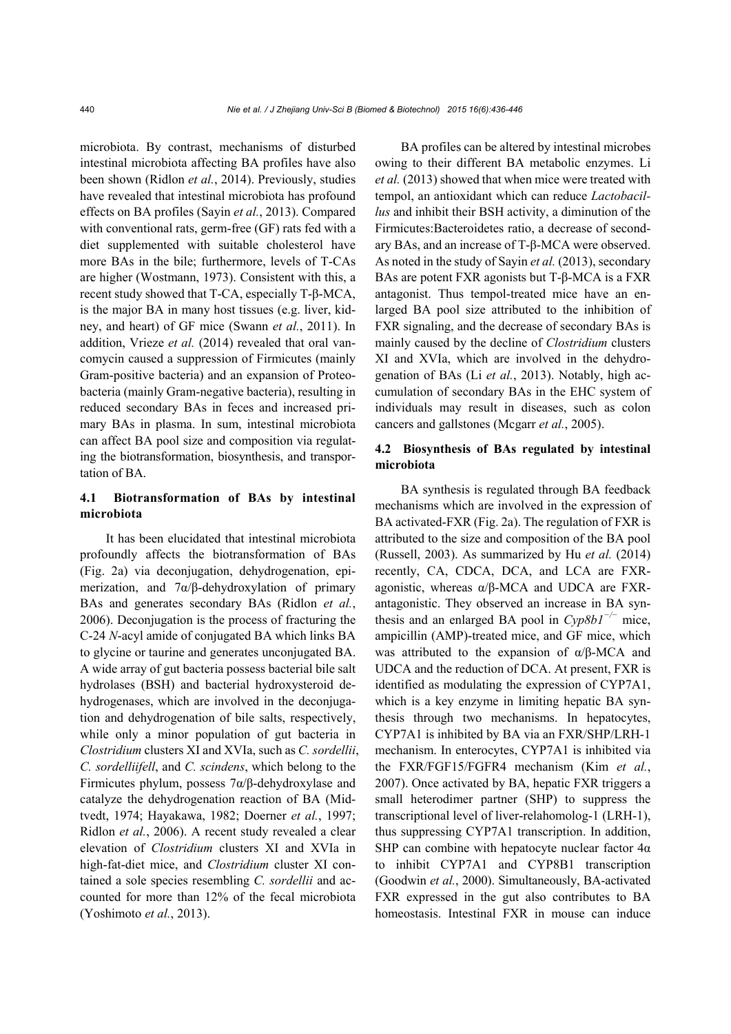microbiota. By contrast, mechanisms of disturbed intestinal microbiota affecting BA profiles have also been shown (Ridlon *et al.*, 2014). Previously, studies have revealed that intestinal microbiota has profound effects on BA profiles (Sayin *et al.*, 2013). Compared with conventional rats, germ-free (GF) rats fed with a diet supplemented with suitable cholesterol have more BAs in the bile; furthermore, levels of T-CAs are higher (Wostmann, 1973). Consistent with this, a recent study showed that T-CA, especially T-β-MCA, is the major BA in many host tissues (e.g. liver, kidney, and heart) of GF mice (Swann *et al.*, 2011). In addition, Vrieze *et al.* (2014) revealed that oral vancomycin caused a suppression of Firmicutes (mainly Gram-positive bacteria) and an expansion of Proteobacteria (mainly Gram-negative bacteria), resulting in reduced secondary BAs in feces and increased primary BAs in plasma. In sum, intestinal microbiota can affect BA pool size and composition via regulating the biotransformation, biosynthesis, and transportation of BA.

## **4.1 Biotransformation of BAs by intestinal microbiota**

It has been elucidated that intestinal microbiota profoundly affects the biotransformation of BAs (Fig. 2a) via deconjugation, dehydrogenation, epimerization, and 7α/β-dehydroxylation of primary BAs and generates secondary BAs (Ridlon *et al.*, 2006). Deconjugation is the process of fracturing the C-24 *N*-acyl amide of conjugated BA which links BA to glycine or taurine and generates unconjugated BA. A wide array of gut bacteria possess bacterial bile salt hydrolases (BSH) and bacterial hydroxysteroid dehydrogenases, which are involved in the deconjugation and dehydrogenation of bile salts, respectively, while only a minor population of gut bacteria in *Clostridium* clusters XI and XVIa, such as *C. sordellii*, *C. sordelliifell*, and *C. scindens*, which belong to the Firmicutes phylum, possess 7α/β-dehydroxylase and catalyze the dehydrogenation reaction of BA (Midtvedt, 1974; Hayakawa, 1982; Doerner *et al.*, 1997; Ridlon *et al.*, 2006). A recent study revealed a clear elevation of *Clostridium* clusters XI and XVIa in high-fat-diet mice, and *Clostridium* cluster XI contained a sole species resembling *C. sordellii* and accounted for more than 12% of the fecal microbiota (Yoshimoto *et al.*, 2013).

BA profiles can be altered by intestinal microbes owing to their different BA metabolic enzymes. Li *et al.* (2013) showed that when mice were treated with tempol, an antioxidant which can reduce *Lactobacillus* and inhibit their BSH activity, a diminution of the Firmicutes:Bacteroidetes ratio, a decrease of secondary BAs, and an increase of T-β-MCA were observed. As noted in the study of Sayin *et al.* (2013), secondary BAs are potent FXR agonists but T-β-MCA is a FXR antagonist. Thus tempol-treated mice have an enlarged BA pool size attributed to the inhibition of FXR signaling, and the decrease of secondary BAs is mainly caused by the decline of *Clostridium* clusters XI and XVIa, which are involved in the dehydrogenation of BAs (Li *et al.*, 2013). Notably, high accumulation of secondary BAs in the EHC system of individuals may result in diseases, such as colon cancers and gallstones (Mcgarr *et al.*, 2005).

## **4.2 Biosynthesis of BAs regulated by intestinal microbiota**

BA synthesis is regulated through BA feedback mechanisms which are involved in the expression of BA activated-FXR (Fig. 2a). The regulation of FXR is attributed to the size and composition of the BA pool (Russell, 2003). As summarized by Hu *et al.* (2014) recently, CA, CDCA, DCA, and LCA are FXRagonistic, whereas α/β-MCA and UDCA are FXRantagonistic. They observed an increase in BA synthesis and an enlarged BA pool in  $Cyp8b1^{-/-}$  mice, ampicillin (AMP)-treated mice, and GF mice, which was attributed to the expansion of  $\alpha$ /β-MCA and UDCA and the reduction of DCA. At present, FXR is identified as modulating the expression of CYP7A1, which is a key enzyme in limiting hepatic BA synthesis through two mechanisms. In hepatocytes, CYP7A1 is inhibited by BA via an FXR/SHP/LRH-1 mechanism. In enterocytes, CYP7A1 is inhibited via the FXR/FGF15/FGFR4 mechanism (Kim *et al.*, 2007). Once activated by BA, hepatic FXR triggers a small heterodimer partner (SHP) to suppress the transcriptional level of liver-relahomolog-1 (LRH-1), thus suppressing CYP7A1 transcription. In addition, SHP can combine with hepatocyte nuclear factor  $4\alpha$ to inhibit CYP7A1 and CYP8B1 transcription (Goodwin *et al.*, 2000). Simultaneously, BA-activated FXR expressed in the gut also contributes to BA homeostasis. Intestinal FXR in mouse can induce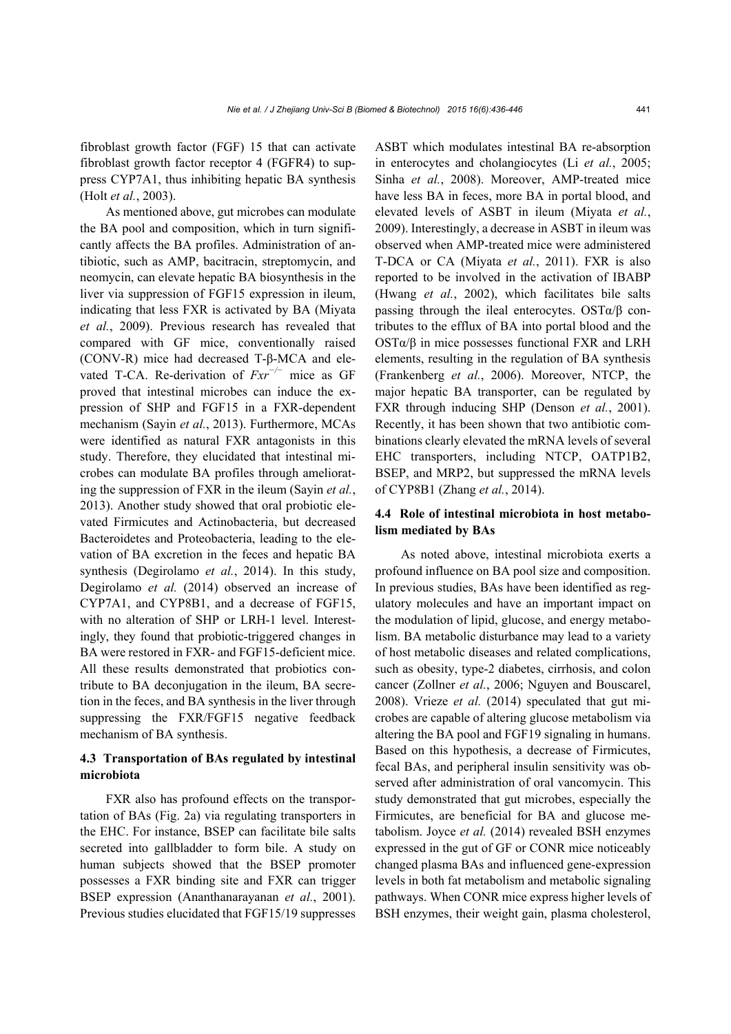fibroblast growth factor (FGF) 15 that can activate fibroblast growth factor receptor 4 (FGFR4) to suppress CYP7A1, thus inhibiting hepatic BA synthesis (Holt *et al.*, 2003).

As mentioned above, gut microbes can modulate the BA pool and composition, which in turn significantly affects the BA profiles. Administration of antibiotic, such as AMP, bacitracin, streptomycin, and neomycin, can elevate hepatic BA biosynthesis in the liver via suppression of FGF15 expression in ileum, indicating that less FXR is activated by BA (Miyata *et al.*, 2009). Previous research has revealed that compared with GF mice, conventionally raised (CONV-R) mice had decreased T-β-MCA and elevated T-CA. Re-derivation of *Fxr<sup>−</sup>/<sup>−</sup>* mice as GF proved that intestinal microbes can induce the expression of SHP and FGF15 in a FXR-dependent mechanism (Sayin *et al.*, 2013). Furthermore, MCAs were identified as natural FXR antagonists in this study. Therefore, they elucidated that intestinal microbes can modulate BA profiles through ameliorating the suppression of FXR in the ileum (Sayin *et al.*, 2013). Another study showed that oral probiotic elevated Firmicutes and Actinobacteria, but decreased Bacteroidetes and Proteobacteria, leading to the elevation of BA excretion in the feces and hepatic BA synthesis (Degirolamo *et al.*, 2014). In this study, Degirolamo *et al.* (2014) observed an increase of CYP7A1, and CYP8B1, and a decrease of FGF15, with no alteration of SHP or LRH-1 level. Interestingly, they found that probiotic-triggered changes in BA were restored in FXR- and FGF15-deficient mice. All these results demonstrated that probiotics contribute to BA deconjugation in the ileum, BA secretion in the feces, and BA synthesis in the liver through suppressing the FXR/FGF15 negative feedback mechanism of BA synthesis.

## **4.3 Transportation of BAs regulated by intestinal microbiota**

FXR also has profound effects on the transportation of BAs (Fig. 2a) via regulating transporters in the EHC. For instance, BSEP can facilitate bile salts secreted into gallbladder to form bile. A study on human subjects showed that the BSEP promoter possesses a FXR binding site and FXR can trigger BSEP expression (Ananthanarayanan *et al.*, 2001). Previous studies elucidated that FGF15/19 suppresses ASBT which modulates intestinal BA re-absorption in enterocytes and cholangiocytes (Li *et al.*, 2005; Sinha *et al.*, 2008). Moreover, AMP-treated mice have less BA in feces, more BA in portal blood, and elevated levels of ASBT in ileum (Miyata *et al.*, 2009). Interestingly, a decrease in ASBT in ileum was observed when AMP-treated mice were administered T-DCA or CA (Miyata *et al.*, 2011). FXR is also reported to be involved in the activation of IBABP (Hwang *et al.*, 2002), which facilitates bile salts passing through the ileal enterocytes. OSTα/β contributes to the efflux of BA into portal blood and the OSTα/β in mice possesses functional FXR and LRH elements, resulting in the regulation of BA synthesis (Frankenberg *et al.*, 2006). Moreover, NTCP, the major hepatic BA transporter, can be regulated by FXR through inducing SHP (Denson *et al.*, 2001). Recently, it has been shown that two antibiotic combinations clearly elevated the mRNA levels of several EHC transporters, including NTCP, OATP1B2, BSEP, and MRP2, but suppressed the mRNA levels of CYP8B1 (Zhang *et al.*, 2014).

## **4.4 Role of intestinal microbiota in host metabolism mediated by BAs**

As noted above, intestinal microbiota exerts a profound influence on BA pool size and composition. In previous studies, BAs have been identified as regulatory molecules and have an important impact on the modulation of lipid, glucose, and energy metabolism. BA metabolic disturbance may lead to a variety of host metabolic diseases and related complications, such as obesity, type-2 diabetes, cirrhosis, and colon cancer (Zollner *et al.*, 2006; Nguyen and Bouscarel, 2008). Vrieze *et al.* (2014) speculated that gut microbes are capable of altering glucose metabolism via altering the BA pool and FGF19 signaling in humans. Based on this hypothesis, a decrease of Firmicutes, fecal BAs, and peripheral insulin sensitivity was observed after administration of oral vancomycin. This study demonstrated that gut microbes, especially the Firmicutes, are beneficial for BA and glucose metabolism. Joyce *et al.* (2014) revealed BSH enzymes expressed in the gut of GF or CONR mice noticeably changed plasma BAs and influenced gene-expression levels in both fat metabolism and metabolic signaling pathways. When CONR mice express higher levels of BSH enzymes, their weight gain, plasma cholesterol,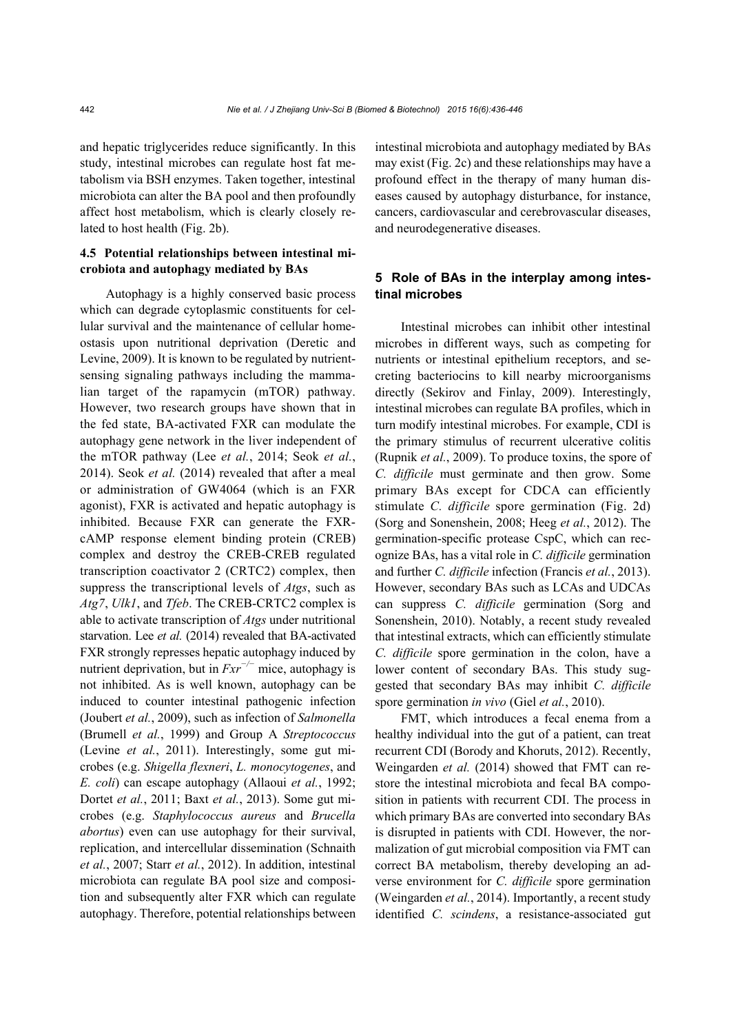and hepatic triglycerides reduce significantly. In this study, intestinal microbes can regulate host fat metabolism via BSH enzymes. Taken together, intestinal microbiota can alter the BA pool and then profoundly affect host metabolism, which is clearly closely related to host health (Fig. 2b).

## **4.5 Potential relationships between intestinal microbiota and autophagy mediated by BAs**

Autophagy is a highly conserved basic process which can degrade cytoplasmic constituents for cellular survival and the maintenance of cellular homeostasis upon nutritional deprivation (Deretic and Levine, 2009). It is known to be regulated by nutrientsensing signaling pathways including the mammalian target of the rapamycin (mTOR) pathway. However, two research groups have shown that in the fed state, BA-activated FXR can modulate the autophagy gene network in the liver independent of the mTOR pathway (Lee *et al.*, 2014; Seok *et al.*, 2014). Seok *et al.* (2014) revealed that after a meal or administration of GW4064 (which is an FXR agonist), FXR is activated and hepatic autophagy is inhibited. Because FXR can generate the FXRcAMP response element binding protein (CREB) complex and destroy the CREB-CREB regulated transcription coactivator 2 (CRTC2) complex, then suppress the transcriptional levels of *Atgs*, such as *Atg7*, *Ulk1*, and *Tfeb*. The CREB-CRTC2 complex is able to activate transcription of *Atgs* under nutritional starvation. Lee *et al.* (2014) revealed that BA-activated FXR strongly represses hepatic autophagy induced by nutrient deprivation, but in *Fxr<sup>−</sup>/<sup>−</sup>* mice, autophagy is not inhibited. As is well known, autophagy can be induced to counter intestinal pathogenic infection (Joubert *et al.*, 2009), such as infection of *Salmonella* (Brumell *et al.*, 1999) and Group A *Streptococcus* (Levine *et al.*, 2011). Interestingly, some gut microbes (e.g. *Shigella flexneri*, *L. monocytogenes*, and *E. coli*) can escape autophagy (Allaoui *et al.*, 1992; Dortet *et al.*, 2011; Baxt *et al.*, 2013). Some gut microbes (e.g. *Staphylococcus aureus* and *Brucella abortus*) even can use autophagy for their survival, replication, and intercellular dissemination (Schnaith *et al.*, 2007; Starr *et al.*, 2012). In addition, intestinal microbiota can regulate BA pool size and composition and subsequently alter FXR which can regulate autophagy. Therefore, potential relationships between

intestinal microbiota and autophagy mediated by BAs may exist (Fig. 2c) and these relationships may have a profound effect in the therapy of many human diseases caused by autophagy disturbance, for instance, cancers, cardiovascular and cerebrovascular diseases, and neurodegenerative diseases.

## **5 Role of BAs in the interplay among intestinal microbes**

Intestinal microbes can inhibit other intestinal microbes in different ways, such as competing for nutrients or intestinal epithelium receptors, and secreting bacteriocins to kill nearby microorganisms directly (Sekirov and Finlay, 2009). Interestingly, intestinal microbes can regulate BA profiles, which in turn modify intestinal microbes. For example, CDI is the primary stimulus of recurrent ulcerative colitis (Rupnik *et al.*, 2009). To produce toxins, the spore of *C. difficile* must germinate and then grow. Some primary BAs except for CDCA can efficiently stimulate *C. difficile* spore germination (Fig. 2d) (Sorg and Sonenshein, 2008; Heeg *et al.*, 2012). The germination-specific protease CspC, which can recognize BAs, has a vital role in *C. difficile* germination and further *C. difficile* infection (Francis *et al.*, 2013). However, secondary BAs such as LCAs and UDCAs can suppress *C. difficile* germination (Sorg and Sonenshein, 2010). Notably, a recent study revealed that intestinal extracts, which can efficiently stimulate *C. difficile* spore germination in the colon, have a lower content of secondary BAs. This study suggested that secondary BAs may inhibit *C. difficile* spore germination *in vivo* (Giel *et al.*, 2010).

FMT, which introduces a fecal enema from a healthy individual into the gut of a patient, can treat recurrent CDI (Borody and Khoruts, 2012). Recently, Weingarden *et al.* (2014) showed that FMT can restore the intestinal microbiota and fecal BA composition in patients with recurrent CDI. The process in which primary BAs are converted into secondary BAs is disrupted in patients with CDI. However, the normalization of gut microbial composition via FMT can correct BA metabolism, thereby developing an adverse environment for *C. difficile* spore germination (Weingarden *et al.*, 2014). Importantly, a recent study identified *C. scindens*, a resistance-associated gut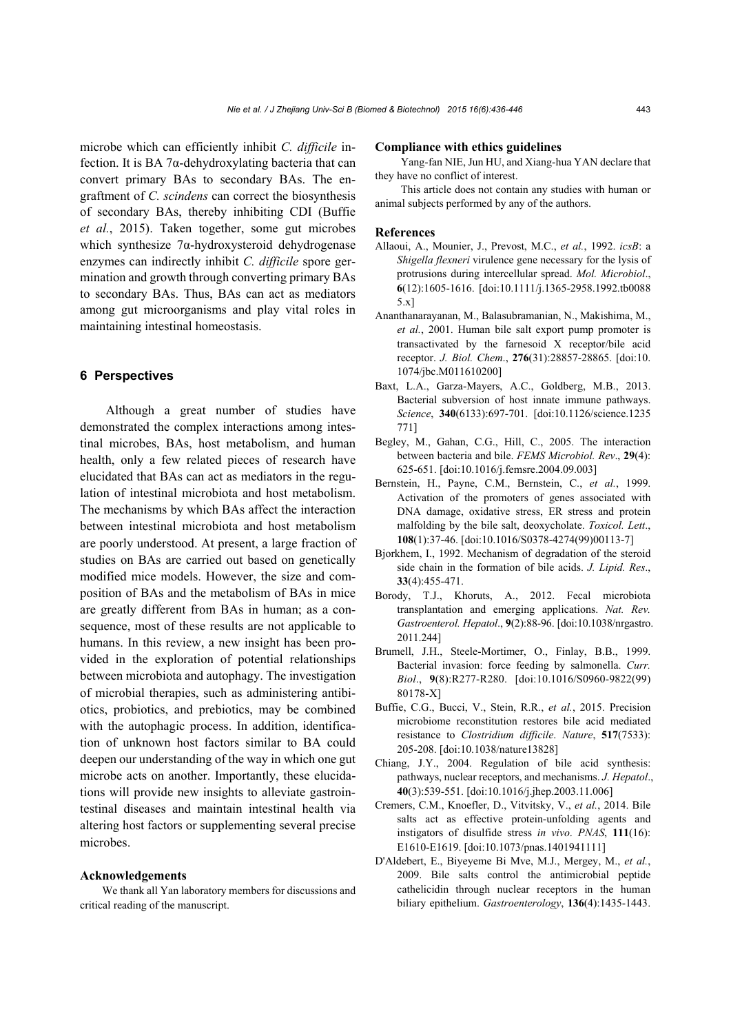microbe which can efficiently inhibit *C. difficile* infection. It is BA 7 $\alpha$ -dehydroxylating bacteria that can convert primary BAs to secondary BAs. The engraftment of *C. scindens* can correct the biosynthesis of secondary BAs, thereby inhibiting CDI (Buffie *et al.*, 2015). Taken together, some gut microbes which synthesize 7α-hydroxysteroid dehydrogenase enzymes can indirectly inhibit *C. difficile* spore germination and growth through converting primary BAs to secondary BAs. Thus, BAs can act as mediators among gut microorganisms and play vital roles in maintaining intestinal homeostasis.

### **6 Perspectives**

Although a great number of studies have demonstrated the complex interactions among intestinal microbes, BAs, host metabolism, and human health, only a few related pieces of research have elucidated that BAs can act as mediators in the regulation of intestinal microbiota and host metabolism. The mechanisms by which BAs affect the interaction between intestinal microbiota and host metabolism are poorly understood. At present, a large fraction of studies on BAs are carried out based on genetically modified mice models. However, the size and composition of BAs and the metabolism of BAs in mice are greatly different from BAs in human; as a consequence, most of these results are not applicable to humans. In this review, a new insight has been provided in the exploration of potential relationships between microbiota and autophagy. The investigation of microbial therapies, such as administering antibiotics, probiotics, and prebiotics, may be combined with the autophagic process. In addition, identification of unknown host factors similar to BA could deepen our understanding of the way in which one gut microbe acts on another. Importantly, these elucidations will provide new insights to alleviate gastrointestinal diseases and maintain intestinal health via altering host factors or supplementing several precise microbes.

#### **Acknowledgements**

We thank all Yan laboratory members for discussions and critical reading of the manuscript.

#### **Compliance with ethics guidelines**

Yang-fan NIE, Jun HU, and Xiang-hua YAN declare that they have no conflict of interest.

This article does not contain any studies with human or animal subjects performed by any of the authors.

#### **References**

- Allaoui, A., Mounier, J., Prevost, M.C., *et al.*, 1992. *icsB*: a *Shigella flexneri* virulence gene necessary for the lysis of protrusions during intercellular spread. *Mol. Microbiol*., **6**(12):1605-1616. [doi:10.1111/j.1365-2958.1992.tb0088 5.x]
- Ananthanarayanan, M., Balasubramanian, N., Makishima, M., *et al.*, 2001. Human bile salt export pump promoter is transactivated by the farnesoid X receptor/bile acid receptor. *J. Biol. Chem*., **276**(31):28857-28865. [doi:10. 1074/jbc.M011610200]
- Baxt, L.A., Garza-Mayers, A.C., Goldberg, M.B., 2013. Bacterial subversion of host innate immune pathways. *Science*, **340**(6133):697-701. [doi:10.1126/science.1235 771]
- Begley, M., Gahan, C.G., Hill, C., 2005. The interaction between bacteria and bile. *FEMS Microbiol. Rev*., **29**(4): 625-651. [doi:10.1016/j.femsre.2004.09.003]
- Bernstein, H., Payne, C.M., Bernstein, C., *et al.*, 1999. Activation of the promoters of genes associated with DNA damage, oxidative stress, ER stress and protein malfolding by the bile salt, deoxycholate. *Toxicol. Lett*., **108**(1):37-46. [doi:10.1016/S0378-4274(99)00113-7]
- Bjorkhem, I., 1992. Mechanism of degradation of the steroid side chain in the formation of bile acids. *J. Lipid. Res*., **33**(4):455-471.
- Borody, T.J., Khoruts, A., 2012. Fecal microbiota transplantation and emerging applications. *Nat. Rev. Gastroenterol. Hepatol*., **9**(2):88-96. [doi:10.1038/nrgastro. 2011.244]
- Brumell, J.H., Steele-Mortimer, O., Finlay, B.B., 1999. Bacterial invasion: force feeding by salmonella. *Curr. Biol*., **9**(8):R277-R280. [doi:10.1016/S0960-9822(99) 80178-X]
- Buffie, C.G., Bucci, V., Stein, R.R., *et al.*, 2015. Precision microbiome reconstitution restores bile acid mediated resistance to *Clostridium difficile*. *Nature*, **517**(7533): 205-208. [doi:10.1038/nature13828]
- Chiang, J.Y., 2004. Regulation of bile acid synthesis: pathways, nuclear receptors, and mechanisms. *J. Hepatol*., **40**(3):539-551. [doi:10.1016/j.jhep.2003.11.006]
- Cremers, C.M., Knoefler, D., Vitvitsky, V., *et al.*, 2014. Bile salts act as effective protein-unfolding agents and instigators of disulfide stress *in vivo*. *PNAS*, **111**(16): E1610-E1619. [doi:10.1073/pnas.1401941111]
- D'Aldebert, E., Biyeyeme Bi Mve, M.J., Mergey, M., *et al.*, 2009. Bile salts control the antimicrobial peptide cathelicidin through nuclear receptors in the human biliary epithelium. *Gastroenterology*, **136**(4):1435-1443.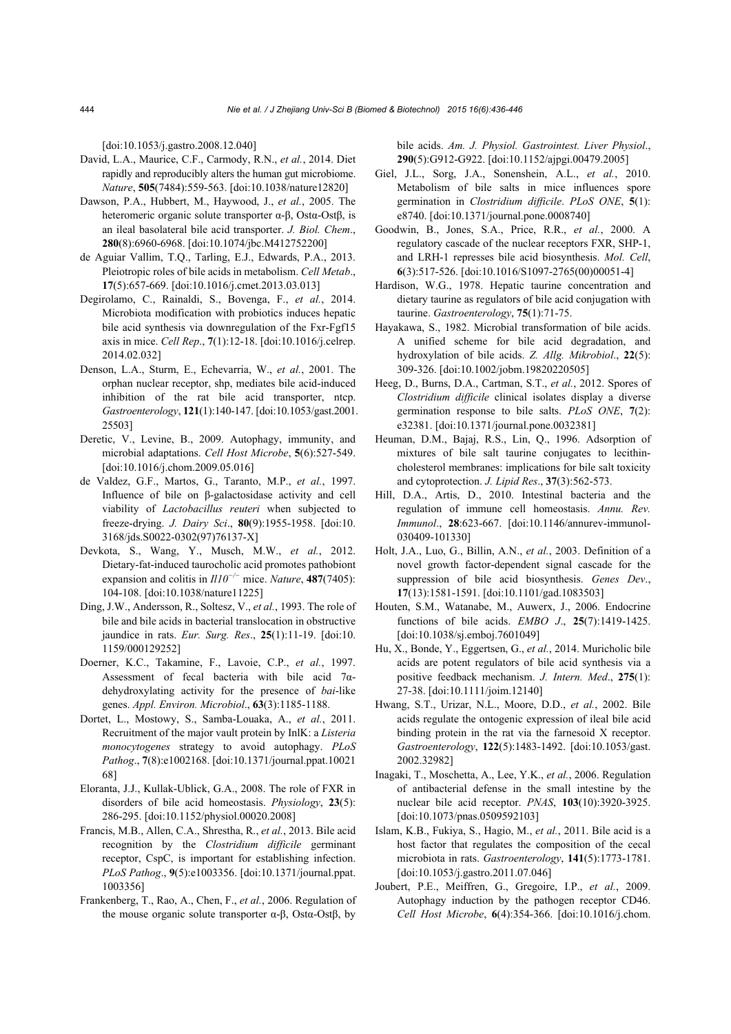[doi:10.1053/j.gastro.2008.12.040]

- David, L.A., Maurice, C.F., Carmody, R.N., *et al.*, 2014. Diet rapidly and reproducibly alters the human gut microbiome. *Nature*, **505**(7484):559-563. [doi:10.1038/nature12820]
- Dawson, P.A., Hubbert, M., Haywood, J., *et al.*, 2005. The heteromeric organic solute transporter α-β, Ostα-Ostβ, is an ileal basolateral bile acid transporter. *J. Biol. Chem*., **280**(8):6960-6968. [doi:10.1074/jbc.M412752200]
- de Aguiar Vallim, T.Q., Tarling, E.J., Edwards, P.A., 2013. Pleiotropic roles of bile acids in metabolism. *Cell Metab*., **17**(5):657-669. [doi:10.1016/j.cmet.2013.03.013]
- Degirolamo, C., Rainaldi, S., Bovenga, F., *et al.*, 2014. Microbiota modification with probiotics induces hepatic bile acid synthesis via downregulation of the Fxr-Fgf15 axis in mice. *Cell Rep*., **7**(1):12-18. [doi:10.1016/j.celrep. 2014.02.032]
- Denson, L.A., Sturm, E., Echevarria, W., *et al.*, 2001. The orphan nuclear receptor, shp, mediates bile acid-induced inhibition of the rat bile acid transporter, ntcp. *Gastroenterology*, **121**(1):140-147. [doi:10.1053/gast.2001. 25503]
- Deretic, V., Levine, B., 2009. Autophagy, immunity, and microbial adaptations. *Cell Host Microbe*, **5**(6):527-549. [doi:10.1016/j.chom.2009.05.016]
- de Valdez, G.F., Martos, G., Taranto, M.P., *et al.*, 1997. Influence of bile on β-galactosidase activity and cell viability of *Lactobacillus reuteri* when subjected to freeze-drying. *J. Dairy Sci*., **80**(9):1955-1958. [doi:10. 3168/jds.S0022-0302(97)76137-X]
- Devkota, S., Wang, Y., Musch, M.W., *et al.*, 2012. Dietary-fat-induced taurocholic acid promotes pathobiont expansion and colitis in *Il10<sup>−</sup>/<sup>−</sup>* mice. *Nature*, **487**(7405): 104-108. [doi:10.1038/nature11225]
- Ding, J.W., Andersson, R., Soltesz, V., *et al.*, 1993. The role of bile and bile acids in bacterial translocation in obstructive jaundice in rats. *Eur. Surg. Res*., **25**(1):11-19. [doi:10. 1159/000129252]
- Doerner, K.C., Takamine, F., Lavoie, C.P., *et al.*, 1997. Assessment of fecal bacteria with bile acid 7αdehydroxylating activity for the presence of *bai*-like genes. *Appl. Environ. Microbiol*., **63**(3):1185-1188.
- Dortet, L., Mostowy, S., Samba-Louaka, A., *et al.*, 2011. Recruitment of the major vault protein by InlK: a *Listeria monocytogenes* strategy to avoid autophagy. *PLoS Pathog*., **7**(8):e1002168. [doi:10.1371/journal.ppat.10021 68]
- Eloranta, J.J., Kullak-Ublick, G.A., 2008. The role of FXR in disorders of bile acid homeostasis. *Physiology*, **23**(5): 286-295. [doi:10.1152/physiol.00020.2008]
- Francis, M.B., Allen, C.A., Shrestha, R., *et al.*, 2013. Bile acid recognition by the *Clostridium difficile* germinant receptor, CspC, is important for establishing infection. *PLoS Pathog*., **9**(5):e1003356. [doi:10.1371/journal.ppat. 1003356]
- Frankenberg, T., Rao, A., Chen, F., *et al.*, 2006. Regulation of the mouse organic solute transporter  $\alpha$ -β, Ost $\alpha$ -Ostβ, by

bile acids. *Am. J. Physiol. Gastrointest. Liver Physiol*., **290**(5):G912-G922. [doi:10.1152/ajpgi.00479.2005]

- Giel, J.L., Sorg, J.A., Sonenshein, A.L., *et al.*, 2010. Metabolism of bile salts in mice influences spore germination in *Clostridium difficile*. *PLoS ONE*, **5**(1): e8740. [doi:10.1371/journal.pone.0008740]
- Goodwin, B., Jones, S.A., Price, R.R., *et al.*, 2000. A regulatory cascade of the nuclear receptors FXR, SHP-1, and LRH-1 represses bile acid biosynthesis. *Mol. Cell*, **6**(3):517-526. [doi:10.1016/S1097-2765(00)00051-4]
- Hardison, W.G., 1978. Hepatic taurine concentration and dietary taurine as regulators of bile acid conjugation with taurine. *Gastroenterology*, **75**(1):71-75.
- Hayakawa, S., 1982. Microbial transformation of bile acids. A unified scheme for bile acid degradation, and hydroxylation of bile acids. *Z. Allg. Mikrobiol*., **22**(5): 309-326. [doi:10.1002/jobm.19820220505]
- Heeg, D., Burns, D.A., Cartman, S.T., *et al.*, 2012. Spores of *Clostridium difficile* clinical isolates display a diverse germination response to bile salts. *PLoS ONE*, **7**(2): e32381. [doi:10.1371/journal.pone.0032381]
- Heuman, D.M., Bajaj, R.S., Lin, Q., 1996. Adsorption of mixtures of bile salt taurine conjugates to lecithincholesterol membranes: implications for bile salt toxicity and cytoprotection. *J. Lipid Res*., **37**(3):562-573.
- Hill, D.A., Artis, D., 2010. Intestinal bacteria and the regulation of immune cell homeostasis. *Annu. Rev. Immunol*., **28**:623-667. [doi:10.1146/annurev-immunol-030409-101330]
- Holt, J.A., Luo, G., Billin, A.N., *et al.*, 2003. Definition of a novel growth factor-dependent signal cascade for the suppression of bile acid biosynthesis. *Genes Dev*., **17**(13):1581-1591. [doi:10.1101/gad.1083503]
- Houten, S.M., Watanabe, M., Auwerx, J., 2006. Endocrine functions of bile acids. *EMBO J*., **25**(7):1419-1425. [doi:10.1038/sj.emboj.7601049]
- Hu, X., Bonde, Y., Eggertsen, G., *et al.*, 2014. Muricholic bile acids are potent regulators of bile acid synthesis via a positive feedback mechanism. *J. Intern. Med*., **275**(1): 27-38. [doi:10.1111/joim.12140]
- Hwang, S.T., Urizar, N.L., Moore, D.D., *et al.*, 2002. Bile acids regulate the ontogenic expression of ileal bile acid binding protein in the rat via the farnesoid X receptor. *Gastroenterology*, **122**(5):1483-1492. [doi:10.1053/gast. 2002.32982]
- Inagaki, T., Moschetta, A., Lee, Y.K., *et al.*, 2006. Regulation of antibacterial defense in the small intestine by the nuclear bile acid receptor. *PNAS*, **103**(10):3920-3925. [doi:10.1073/pnas.0509592103]
- Islam, K.B., Fukiya, S., Hagio, M., *et al.*, 2011. Bile acid is a host factor that regulates the composition of the cecal microbiota in rats. *Gastroenterology*, **141**(5):1773-1781. [doi:10.1053/j.gastro.2011.07.046]
- Joubert, P.E., Meiffren, G., Gregoire, I.P., *et al.*, 2009. Autophagy induction by the pathogen receptor CD46. *Cell Host Microbe*, **6**(4):354-366. [doi:10.1016/j.chom.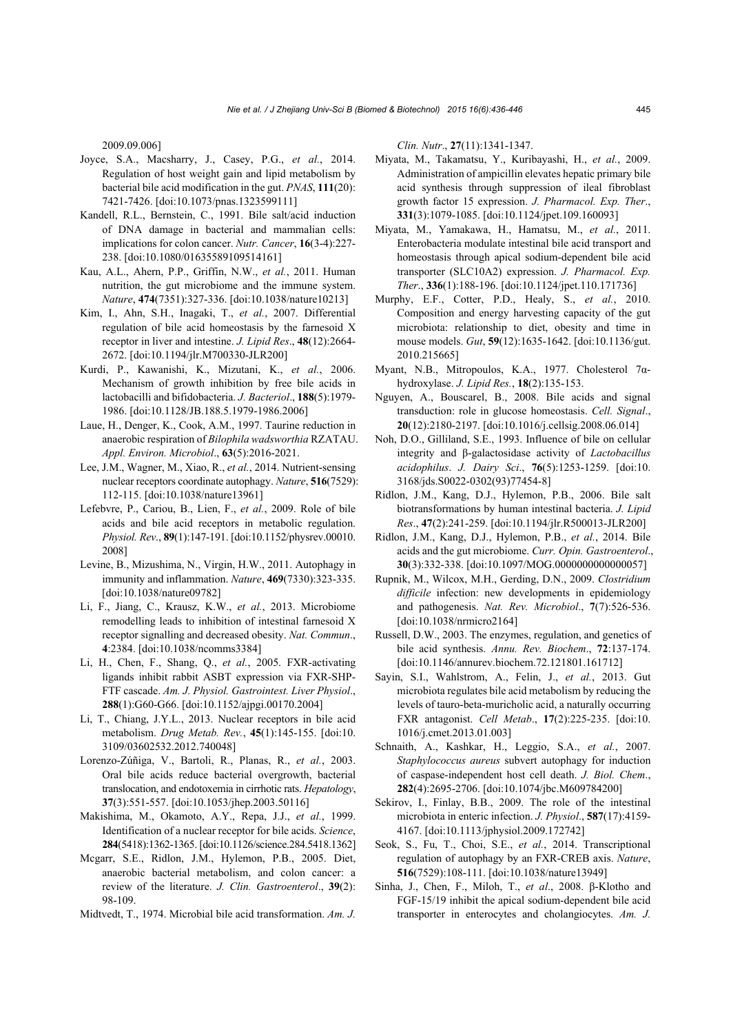2009.09.006]

- Joyce, S.A., Macsharry, J., Casey, P.G., *et al.*, 2014. Regulation of host weight gain and lipid metabolism by bacterial bile acid modification in the gut. *PNAS*, **111**(20): 7421-7426. [doi:10.1073/pnas.1323599111]
- Kandell, R.L., Bernstein, C., 1991. Bile salt/acid induction of DNA damage in bacterial and mammalian cells: implications for colon cancer. *Nutr. Cancer*, **16**(3-4):227- 238. [doi:10.1080/01635589109514161]
- Kau, A.L., Ahern, P.P., Griffin, N.W., *et al.*, 2011. Human nutrition, the gut microbiome and the immune system. *Nature*, **474**(7351):327-336. [doi:10.1038/nature10213]
- Kim, I., Ahn, S.H., Inagaki, T., *et al.*, 2007. Differential regulation of bile acid homeostasis by the farnesoid X receptor in liver and intestine. *J. Lipid Res*., **48**(12):2664- 2672. [doi:10.1194/jlr.M700330-JLR200]
- Kurdi, P., Kawanishi, K., Mizutani, K., *et al.*, 2006. Mechanism of growth inhibition by free bile acids in lactobacilli and bifidobacteria. *J. Bacteriol*., **188**(5):1979- 1986. [doi:10.1128/JB.188.5.1979-1986.2006]
- Laue, H., Denger, K., Cook, A.M., 1997. Taurine reduction in anaerobic respiration of *Bilophila wadsworthia* RZATAU. *Appl. Environ. Microbiol*., **63**(5):2016-2021.
- Lee, J.M., Wagner, M., Xiao, R., *et al.*, 2014. Nutrient-sensing nuclear receptors coordinate autophagy. *Nature*, **516**(7529): 112-115. [doi:10.1038/nature13961]
- Lefebvre, P., Cariou, B., Lien, F., *et al.*, 2009. Role of bile acids and bile acid receptors in metabolic regulation. *Physiol. Rev*., **89**(1):147-191. [doi:10.1152/physrev.00010. 2008]
- Levine, B., Mizushima, N., Virgin, H.W., 2011. Autophagy in immunity and inflammation. *Nature*, **469**(7330):323-335. [doi:10.1038/nature09782]
- Li, F., Jiang, C., Krausz, K.W., *et al.*, 2013. Microbiome remodelling leads to inhibition of intestinal farnesoid X receptor signalling and decreased obesity. *Nat. Commun*., **4**:2384. [doi:10.1038/ncomms3384]
- Li, H., Chen, F., Shang, Q., *et al.*, 2005. FXR-activating ligands inhibit rabbit ASBT expression via FXR-SHP-FTF cascade. *Am. J. Physiol. Gastrointest. Liver Physiol*., **288**(1):G60-G66. [doi:10.1152/ajpgi.00170.2004]
- Li, T., Chiang, J.Y.L., 2013. Nuclear receptors in bile acid metabolism. *Drug Metab. Rev.*, **45**(1):145-155. [doi:10. 3109/03602532.2012.740048]
- Lorenzo-Zúñiga, V., Bartoli, R., Planas, R., *et al.*, 2003. Oral bile acids reduce bacterial overgrowth, bacterial translocation, and endotoxemia in cirrhotic rats. *Hepatology*, **37**(3):551-557. [doi:10.1053/jhep.2003.50116]
- Makishima, M., Okamoto, A.Y., Repa, J.J., *et al.*, 1999. Identification of a nuclear receptor for bile acids. *Science*, **284**(5418):1362-1365. [doi:10.1126/science.284.5418.1362]
- Mcgarr, S.E., Ridlon, J.M., Hylemon, P.B., 2005. Diet, anaerobic bacterial metabolism, and colon cancer: a review of the literature. *J. Clin. Gastroenterol*., **39**(2): 98-109.
- Midtvedt, T., 1974. Microbial bile acid transformation. *Am. J.*

*Clin. Nutr*., **27**(11):1341-1347.

- Miyata, M., Takamatsu, Y., Kuribayashi, H., *et al.*, 2009. Administration of ampicillin elevates hepatic primary bile acid synthesis through suppression of ileal fibroblast growth factor 15 expression. *J. Pharmacol. Exp. Ther*., **331**(3):1079-1085. [doi:10.1124/jpet.109.160093]
- Miyata, M., Yamakawa, H., Hamatsu, M., *et al.*, 2011. Enterobacteria modulate intestinal bile acid transport and homeostasis through apical sodium-dependent bile acid transporter (SLC10A2) expression. *J. Pharmacol. Exp. Ther*., **336**(1):188-196. [doi:10.1124/jpet.110.171736]
- Murphy, E.F., Cotter, P.D., Healy, S., *et al.*, 2010. Composition and energy harvesting capacity of the gut microbiota: relationship to diet, obesity and time in mouse models. *Gut*, **59**(12):1635-1642. [doi:10.1136/gut. 2010.215665]
- Myant, N.B., Mitropoulos, K.A., 1977. Cholesterol 7αhydroxylase. *J. Lipid Res.*, **18**(2):135-153.
- Nguyen, A., Bouscarel, B., 2008. Bile acids and signal transduction: role in glucose homeostasis. *Cell. Signal*., **20**(12):2180-2197. [doi:10.1016/j.cellsig.2008.06.014]
- Noh, D.O., Gilliland, S.E., 1993. Influence of bile on cellular integrity and β-galactosidase activity of *Lactobacillus acidophilus*. *J. Dairy Sci*., **76**(5):1253-1259. [doi:10. 3168/jds.S0022-0302(93)77454-8]
- Ridlon, J.M., Kang, D.J., Hylemon, P.B., 2006. Bile salt biotransformations by human intestinal bacteria. *J. Lipid Res*., **47**(2):241-259. [doi:10.1194/jlr.R500013-JLR200]
- Ridlon, J.M., Kang, D.J., Hylemon, P.B., *et al.*, 2014. Bile acids and the gut microbiome. *Curr. Opin. Gastroenterol*., **30**(3):332-338. [doi:10.1097/MOG.0000000000000057]
- Rupnik, M., Wilcox, M.H., Gerding, D.N., 2009. *Clostridium difficile* infection: new developments in epidemiology and pathogenesis. *Nat. Rev. Microbiol*., **7**(7):526-536. [doi:10.1038/nrmicro2164]
- Russell, D.W., 2003. The enzymes, regulation, and genetics of bile acid synthesis. *Annu. Rev. Biochem*., **72**:137-174. [doi:10.1146/annurev.biochem.72.121801.161712]
- Sayin, S.I., Wahlstrom, A., Felin, J., *et al.*, 2013. Gut microbiota regulates bile acid metabolism by reducing the levels of tauro-beta-muricholic acid, a naturally occurring FXR antagonist. *Cell Metab*., **17**(2):225-235. [doi:10. 1016/j.cmet.2013.01.003]
- Schnaith, A., Kashkar, H., Leggio, S.A., *et al.*, 2007. *Staphylococcus aureus* subvert autophagy for induction of caspase-independent host cell death. *J. Biol. Chem*., **282**(4):2695-2706. [doi:10.1074/jbc.M609784200]
- Sekirov, I., Finlay, B.B., 2009. The role of the intestinal microbiota in enteric infection. *J. Physiol*., **587**(17):4159- 4167. [doi:10.1113/jphysiol.2009.172742]
- Seok, S., Fu, T., Choi, S.E., *et al.*, 2014. Transcriptional regulation of autophagy by an FXR-CREB axis. *Nature*, **516**(7529):108-111. [doi:10.1038/nature13949]
- Sinha, J., Chen, F., Miloh, T., *et al*., 2008. β-Klotho and FGF-15/19 inhibit the apical sodium-dependent bile acid transporter in enterocytes and cholangiocytes. *Am. J.*